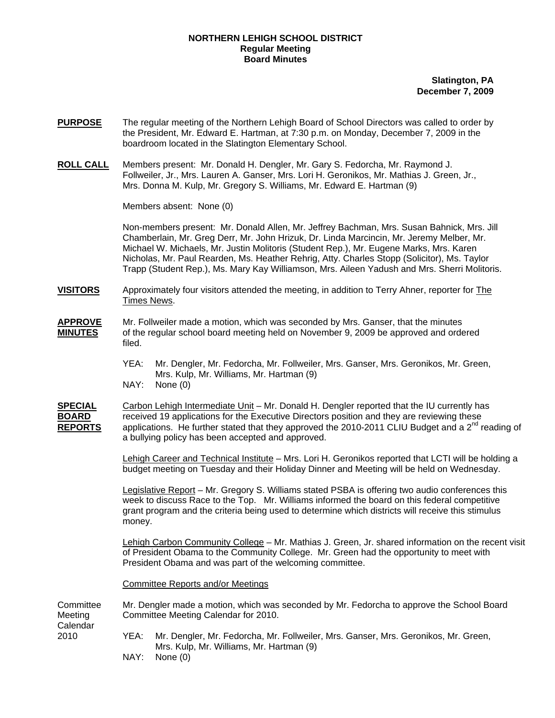## **NORTHERN LEHIGH SCHOOL DISTRICT Regular Meeting Board Minutes**

**Slatington, PA December 7, 2009**

- **PURPOSE** The regular meeting of the Northern Lehigh Board of School Directors was called to order by the President, Mr. Edward E. Hartman, at 7:30 p.m. on Monday, December 7, 2009 in the boardroom located in the Slatington Elementary School.
- **ROLL CALL** Members present: Mr. Donald H. Dengler, Mr. Gary S. Fedorcha, Mr. Raymond J. Follweiler, Jr., Mrs. Lauren A. Ganser, Mrs. Lori H. Geronikos, Mr. Mathias J. Green, Jr., Mrs. Donna M. Kulp, Mr. Gregory S. Williams, Mr. Edward E. Hartman (9)

Members absent: None (0)

Non-members present: Mr. Donald Allen, Mr. Jeffrey Bachman, Mrs. Susan Bahnick, Mrs. Jill Chamberlain, Mr. Greg Derr, Mr. John Hrizuk, Dr. Linda Marcincin, Mr. Jeremy Melber, Mr. Michael W. Michaels, Mr. Justin Molitoris (Student Rep.), Mr. Eugene Marks, Mrs. Karen Nicholas, Mr. Paul Rearden, Ms. Heather Rehrig, Atty. Charles Stopp (Solicitor), Ms. Taylor Trapp (Student Rep.), Ms. Mary Kay Williamson, Mrs. Aileen Yadush and Mrs. Sherri Molitoris.

**VISITORS** Approximately four visitors attended the meeting, in addition to Terry Ahner, reporter for The Times News.

## **APPROVE** Mr. Follweiler made a motion, which was seconded by Mrs. Ganser, that the minutes **MINUTES** of the regular school board meeting held on November 9, 2009 be approved and ordered filed.

- YEA: Mr. Dengler, Mr. Fedorcha, Mr. Follweiler, Mrs. Ganser, Mrs. Geronikos, Mr. Green, Mrs. Kulp, Mr. Williams, Mr. Hartman (9)
- NAY: None (0)

**SPECIAL** Carbon Lehigh Intermediate Unit – Mr. Donald H. Dengler reported that the IU currently has **BOARD** received 19 applications for the Executive Directors position and they are reviewing these **REPORTS** applications. He further stated that they approved the 2010-2011 CLIU Budget and a  $2^{nd}$  reading of a bullying policy has been accepted and approved.

> Lehigh Career and Technical Institute – Mrs. Lori H. Geronikos reported that LCTI will be holding a budget meeting on Tuesday and their Holiday Dinner and Meeting will be held on Wednesday.

Legislative Report – Mr. Gregory S. Williams stated PSBA is offering two audio conferences this week to discuss Race to the Top. Mr. Williams informed the board on this federal competitive grant program and the criteria being used to determine which districts will receive this stimulus money.

Lehigh Carbon Community College – Mr. Mathias J. Green, Jr. shared information on the recent visit of President Obama to the Community College. Mr. Green had the opportunity to meet with President Obama and was part of the welcoming committee.

Committee Reports and/or Meetings

Committee Mr. Dengler made a motion, which was seconded by Mr. Fedorcha to approve the School Board Meeting Committee Meeting Calendar for 2010. Calendar 2010 YEA: Mr. Dengler, Mr. Fedorcha, Mr. Follweiler, Mrs. Ganser, Mrs. Geronikos, Mr. Green, Mrs. Kulp, Mr. Williams, Mr. Hartman (9)

NAY: None (0)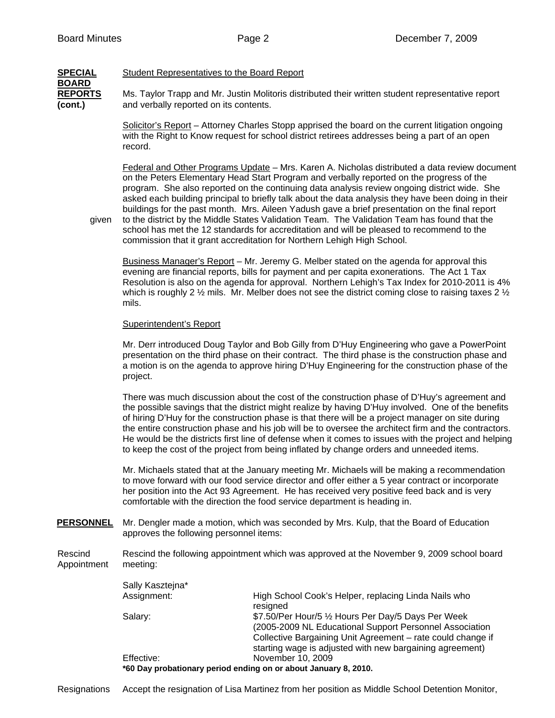**BOARD**

## **SPECIAL** Student Representatives to the Board Report

**REPORTS** Ms. Taylor Trapp and Mr. Justin Molitoris distributed their written student representative report **(cont.)** and verbally reported on its contents.

> Solicitor's Report – Attorney Charles Stopp apprised the board on the current litigation ongoing with the Right to Know request for school district retirees addresses being a part of an open record.

Federal and Other Programs Update – Mrs. Karen A. Nicholas distributed a data review document on the Peters Elementary Head Start Program and verbally reported on the progress of the program. She also reported on the continuing data analysis review ongoing district wide. She asked each building principal to briefly talk about the data analysis they have been doing in their buildings for the past month. Mrs. Aileen Yadush gave a brief presentation on the final report given to the district by the Middle States Validation Team. The Validation Team has found that the school has met the 12 standards for accreditation and will be pleased to recommend to the

commission that it grant accreditation for Northern Lehigh High School.

Business Manager's Report – Mr. Jeremy G. Melber stated on the agenda for approval this evening are financial reports, bills for payment and per capita exonerations. The Act 1 Tax Resolution is also on the agenda for approval. Northern Lehigh's Tax Index for 2010-2011 is 4% which is roughly 2  $\frac{1}{2}$  mils. Mr. Melber does not see the district coming close to raising taxes 2  $\frac{1}{2}$ mils.

## Superintendent's Report

Mr. Derr introduced Doug Taylor and Bob Gilly from D'Huy Engineering who gave a PowerPoint presentation on the third phase on their contract. The third phase is the construction phase and a motion is on the agenda to approve hiring D'Huy Engineering for the construction phase of the project.

There was much discussion about the cost of the construction phase of D'Huy's agreement and the possible savings that the district might realize by having D'Huy involved. One of the benefits of hiring D'Huy for the construction phase is that there will be a project manager on site during the entire construction phase and his job will be to oversee the architect firm and the contractors. He would be the districts first line of defense when it comes to issues with the project and helping to keep the cost of the project from being inflated by change orders and unneeded items.

Mr. Michaels stated that at the January meeting Mr. Michaels will be making a recommendation to move forward with our food service director and offer either a 5 year contract or incorporate her position into the Act 93 Agreement. He has received very positive feed back and is very comfortable with the direction the food service department is heading in.

**PERSONNEL** Mr. Dengler made a motion, which was seconded by Mrs. Kulp, that the Board of Education approves the following personnel items:

Rescind Rescind the following appointment which was approved at the November 9, 2009 school board Appointment meeting:

| Sally Kasztejna* |                                                                                                                         |
|------------------|-------------------------------------------------------------------------------------------------------------------------|
| Assignment:      | High School Cook's Helper, replacing Linda Nails who<br>resigned                                                        |
| Salary:          | \$7.50/Per Hour/5 1/2 Hours Per Day/5 Days Per Week<br>(2005-2009 NL Educational Support Personnel Association          |
|                  | Collective Bargaining Unit Agreement - rate could change if<br>starting wage is adjusted with new bargaining agreement) |
| Effective:       | November 10, 2009                                                                                                       |
|                  | *60 Day probationary period ending on or about January 8, 2010.                                                         |

Resignations Accept the resignation of Lisa Martinez from her position as Middle School Detention Monitor,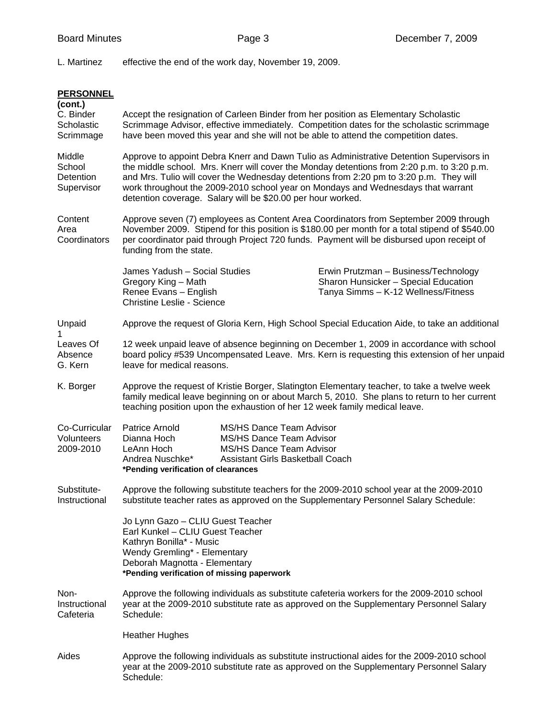L. Martinez effective the end of the work day, November 19, 2009.

| <b>PERSONNEL</b><br>(cont.)<br>C. Binder<br>Scholastic<br>Scrimmage |                                                                                                                                                                                                                                                                                                                                                                                                                                     |                                                                                                                      | Accept the resignation of Carleen Binder from her position as Elementary Scholastic<br>Scrimmage Advisor, effective immediately. Competition dates for the scholastic scrimmage<br>have been moved this year and she will not be able to attend the competition dates.              |  |
|---------------------------------------------------------------------|-------------------------------------------------------------------------------------------------------------------------------------------------------------------------------------------------------------------------------------------------------------------------------------------------------------------------------------------------------------------------------------------------------------------------------------|----------------------------------------------------------------------------------------------------------------------|-------------------------------------------------------------------------------------------------------------------------------------------------------------------------------------------------------------------------------------------------------------------------------------|--|
| Middle<br>School<br><b>Detention</b><br>Supervisor                  | Approve to appoint Debra Knerr and Dawn Tulio as Administrative Detention Supervisors in<br>the middle school. Mrs. Knerr will cover the Monday detentions from 2:20 p.m. to 3:20 p.m.<br>and Mrs. Tulio will cover the Wednesday detentions from 2:20 pm to 3:20 p.m. They will<br>work throughout the 2009-2010 school year on Mondays and Wednesdays that warrant<br>detention coverage. Salary will be \$20.00 per hour worked. |                                                                                                                      |                                                                                                                                                                                                                                                                                     |  |
| Content<br>Area<br>Coordinators                                     | funding from the state.                                                                                                                                                                                                                                                                                                                                                                                                             |                                                                                                                      | Approve seven (7) employees as Content Area Coordinators from September 2009 through<br>November 2009. Stipend for this position is \$180.00 per month for a total stipend of \$540.00<br>per coordinator paid through Project 720 funds. Payment will be disbursed upon receipt of |  |
|                                                                     | James Yadush - Social Studies<br>Gregory King - Math<br>Renee Evans - English<br><b>Christine Leslie - Science</b>                                                                                                                                                                                                                                                                                                                  |                                                                                                                      | Erwin Prutzman - Business/Technology<br>Sharon Hunsicker - Special Education<br>Tanya Simms - K-12 Wellness/Fitness                                                                                                                                                                 |  |
| Unpaid<br>1                                                         | Approve the request of Gloria Kern, High School Special Education Aide, to take an additional                                                                                                                                                                                                                                                                                                                                       |                                                                                                                      |                                                                                                                                                                                                                                                                                     |  |
| Leaves Of<br>Absence<br>G. Kern                                     | 12 week unpaid leave of absence beginning on December 1, 2009 in accordance with school<br>board policy #539 Uncompensated Leave. Mrs. Kern is requesting this extension of her unpaid<br>leave for medical reasons.                                                                                                                                                                                                                |                                                                                                                      |                                                                                                                                                                                                                                                                                     |  |
| K. Borger                                                           |                                                                                                                                                                                                                                                                                                                                                                                                                                     |                                                                                                                      | Approve the request of Kristie Borger, Slatington Elementary teacher, to take a twelve week<br>family medical leave beginning on or about March 5, 2010. She plans to return to her current<br>teaching position upon the exhaustion of her 12 week family medical leave.           |  |
| Co-Curricular<br>Volunteers<br>2009-2010                            | Patrice Arnold<br>Dianna Hoch<br>LeAnn Hoch<br>Andrea Nuschke*<br>*Pending verification of clearances                                                                                                                                                                                                                                                                                                                               | MS/HS Dance Team Advisor<br>MS/HS Dance Team Advisor<br>MS/HS Dance Team Advisor<br>Assistant Girls Basketball Coach |                                                                                                                                                                                                                                                                                     |  |
| Substitute-<br>Instructional                                        |                                                                                                                                                                                                                                                                                                                                                                                                                                     |                                                                                                                      | Approve the following substitute teachers for the 2009-2010 school year at the 2009-2010<br>substitute teacher rates as approved on the Supplementary Personnel Salary Schedule:                                                                                                    |  |
|                                                                     | Jo Lynn Gazo - CLIU Guest Teacher<br>Earl Kunkel - CLIU Guest Teacher<br>Kathryn Bonilla* - Music<br>Wendy Gremling* - Elementary<br>Deborah Magnotta - Elementary<br>*Pending verification of missing paperwork                                                                                                                                                                                                                    |                                                                                                                      |                                                                                                                                                                                                                                                                                     |  |
| Non-<br>Instructional<br>Cafeteria                                  | Schedule:                                                                                                                                                                                                                                                                                                                                                                                                                           |                                                                                                                      | Approve the following individuals as substitute cafeteria workers for the 2009-2010 school<br>year at the 2009-2010 substitute rate as approved on the Supplementary Personnel Salary                                                                                               |  |
|                                                                     | <b>Heather Hughes</b>                                                                                                                                                                                                                                                                                                                                                                                                               |                                                                                                                      |                                                                                                                                                                                                                                                                                     |  |
| Aides                                                               | Approve the following individuals as substitute instructional aides for the 2009-2010 school<br>year at the 2009-2010 substitute rate as approved on the Supplementary Personnel Salary<br>Schedule:                                                                                                                                                                                                                                |                                                                                                                      |                                                                                                                                                                                                                                                                                     |  |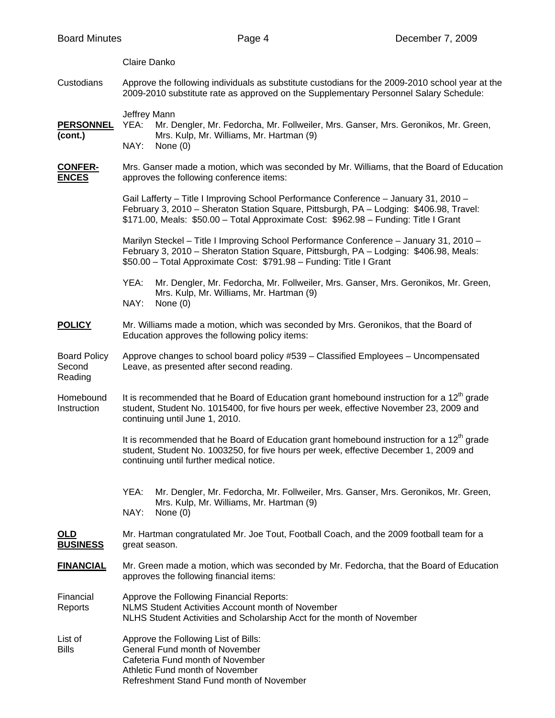|                                          | Claire Danko                                                                                                                                                                                                                                                            |  |  |
|------------------------------------------|-------------------------------------------------------------------------------------------------------------------------------------------------------------------------------------------------------------------------------------------------------------------------|--|--|
| Custodians                               | Approve the following individuals as substitute custodians for the 2009-2010 school year at the<br>2009-2010 substitute rate as approved on the Supplementary Personnel Salary Schedule:                                                                                |  |  |
| <u>PERSONNEL</u><br>(cont.)              | Jeffrey Mann<br>Mr. Dengler, Mr. Fedorcha, Mr. Follweiler, Mrs. Ganser, Mrs. Geronikos, Mr. Green,<br>YEA:<br>Mrs. Kulp, Mr. Williams, Mr. Hartman (9)<br>NAY:<br>None $(0)$                                                                                            |  |  |
| <u>CONFER-</u><br><b>ENCES</b>           | Mrs. Ganser made a motion, which was seconded by Mr. Williams, that the Board of Education<br>approves the following conference items:                                                                                                                                  |  |  |
|                                          | Gail Lafferty - Title I Improving School Performance Conference - January 31, 2010 -<br>February 3, 2010 - Sheraton Station Square, Pittsburgh, PA - Lodging: \$406.98, Travel:<br>\$171.00, Meals: \$50.00 - Total Approximate Cost: \$962.98 - Funding: Title I Grant |  |  |
|                                          | Marilyn Steckel - Title I Improving School Performance Conference - January 31, 2010 -<br>February 3, 2010 - Sheraton Station Square, Pittsburgh, PA - Lodging: \$406.98, Meals:<br>\$50.00 - Total Approximate Cost: \$791.98 - Funding: Title I Grant                 |  |  |
|                                          | Mr. Dengler, Mr. Fedorcha, Mr. Follweiler, Mrs. Ganser, Mrs. Geronikos, Mr. Green,<br>YEA:<br>Mrs. Kulp, Mr. Williams, Mr. Hartman (9)<br>NAY:<br>None $(0)$                                                                                                            |  |  |
| <u>POLICY</u>                            | Mr. Williams made a motion, which was seconded by Mrs. Geronikos, that the Board of<br>Education approves the following policy items:                                                                                                                                   |  |  |
| <b>Board Policy</b><br>Second<br>Reading | Approve changes to school board policy #539 - Classified Employees - Uncompensated<br>Leave, as presented after second reading.                                                                                                                                         |  |  |
| Homebound<br>Instruction                 | It is recommended that he Board of Education grant homebound instruction for a $12th$ grade<br>student, Student No. 1015400, for five hours per week, effective November 23, 2009 and<br>continuing until June 1, 2010.                                                 |  |  |
|                                          | It is recommended that he Board of Education grant homebound instruction for a 12 <sup>th</sup> grade<br>student, Student No. 1003250, for five hours per week, effective December 1, 2009 and<br>continuing until further medical notice.                              |  |  |
|                                          | YEA:<br>Mr. Dengler, Mr. Fedorcha, Mr. Follweiler, Mrs. Ganser, Mrs. Geronikos, Mr. Green,<br>Mrs. Kulp, Mr. Williams, Mr. Hartman (9)<br>NAY:<br>None $(0)$                                                                                                            |  |  |
| <u>OLD</u><br><b>BUSINESS</b>            | Mr. Hartman congratulated Mr. Joe Tout, Football Coach, and the 2009 football team for a<br>great season.                                                                                                                                                               |  |  |
| <u>FINANCIAL</u>                         | Mr. Green made a motion, which was seconded by Mr. Fedorcha, that the Board of Education<br>approves the following financial items:                                                                                                                                     |  |  |
| Financial<br>Reports                     | Approve the Following Financial Reports:<br>NLMS Student Activities Account month of November<br>NLHS Student Activities and Scholarship Acct for the month of November                                                                                                 |  |  |
| List of<br>Bills                         | Approve the Following List of Bills:<br>General Fund month of November<br>Cafeteria Fund month of November<br>Athletic Fund month of November<br>Refreshment Stand Fund month of November                                                                               |  |  |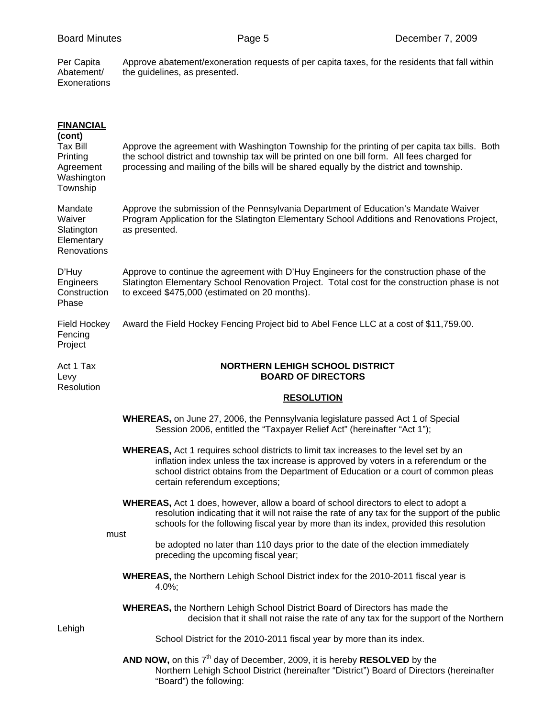Per Capita Approve abatement/exoneration requests of per capita taxes, for the residents that fall within Abatement/ the guidelines, as presented. Per Capita<br>Abatement/<br>Exonerations

| <b>FINANCIAL</b><br>(cont)<br><b>Tax Bill</b><br>Printing<br>Agreement<br>Washington<br>Township | Approve the agreement with Washington Township for the printing of per capita tax bills. Both<br>the school district and township tax will be printed on one bill form. All fees charged for<br>processing and mailing of the bills will be shared equally by the district and township.                       |  |  |
|--------------------------------------------------------------------------------------------------|----------------------------------------------------------------------------------------------------------------------------------------------------------------------------------------------------------------------------------------------------------------------------------------------------------------|--|--|
| Mandate<br>Waiver<br>Slatington<br>Elementary<br>Renovations                                     | Approve the submission of the Pennsylvania Department of Education's Mandate Waiver<br>Program Application for the Slatington Elementary School Additions and Renovations Project,<br>as presented.                                                                                                            |  |  |
| D'Huy<br>Engineers<br>Construction<br>Phase                                                      | Approve to continue the agreement with D'Huy Engineers for the construction phase of the<br>Slatington Elementary School Renovation Project. Total cost for the construction phase is not<br>to exceed \$475,000 (estimated on 20 months).                                                                     |  |  |
| Field Hockey<br>Fencing<br>Project                                                               | Award the Field Hockey Fencing Project bid to Abel Fence LLC at a cost of \$11,759.00.                                                                                                                                                                                                                         |  |  |
| Act 1 Tax<br>Levy<br>Resolution                                                                  | <b>NORTHERN LEHIGH SCHOOL DISTRICT</b><br><b>BOARD OF DIRECTORS</b>                                                                                                                                                                                                                                            |  |  |
|                                                                                                  | <b>RESOLUTION</b>                                                                                                                                                                                                                                                                                              |  |  |
|                                                                                                  | <b>WHEREAS</b> , on June 27, 2006, the Pennsylvania legislature passed Act 1 of Special<br>Session 2006, entitled the "Taxpayer Relief Act" (hereinafter "Act 1");                                                                                                                                             |  |  |
|                                                                                                  | <b>WHEREAS, Act 1 requires school districts to limit tax increases to the level set by an</b><br>inflation index unless the tax increase is approved by voters in a referendum or the<br>school district obtains from the Department of Education or a court of common pleas<br>certain referendum exceptions; |  |  |
|                                                                                                  | <b>WHEREAS, Act 1 does, however, allow a board of school directors to elect to adopt a</b><br>resolution indicating that it will not raise the rate of any tax for the support of the public<br>schools for the following fiscal year by more than its index, provided this resolution                         |  |  |
| must                                                                                             | be adopted no later than 110 days prior to the date of the election immediately<br>preceding the upcoming fiscal year;                                                                                                                                                                                         |  |  |
|                                                                                                  | WHEREAS, the Northern Lehigh School District index for the 2010-2011 fiscal year is<br>4.0%;                                                                                                                                                                                                                   |  |  |
|                                                                                                  | <b>WHEREAS, the Northern Lehigh School District Board of Directors has made the</b><br>decision that it shall not raise the rate of any tax for the support of the Northern                                                                                                                                    |  |  |
| Lehigh                                                                                           | School District for the 2010-2011 fiscal year by more than its index.                                                                                                                                                                                                                                          |  |  |
|                                                                                                  | AND NOW, on this 7 <sup>th</sup> day of December, 2009, it is hereby RESOLVED by the<br>Northern Lehigh School District (hereinafter "District") Board of Directors (hereinafter<br>"Board") the following:                                                                                                    |  |  |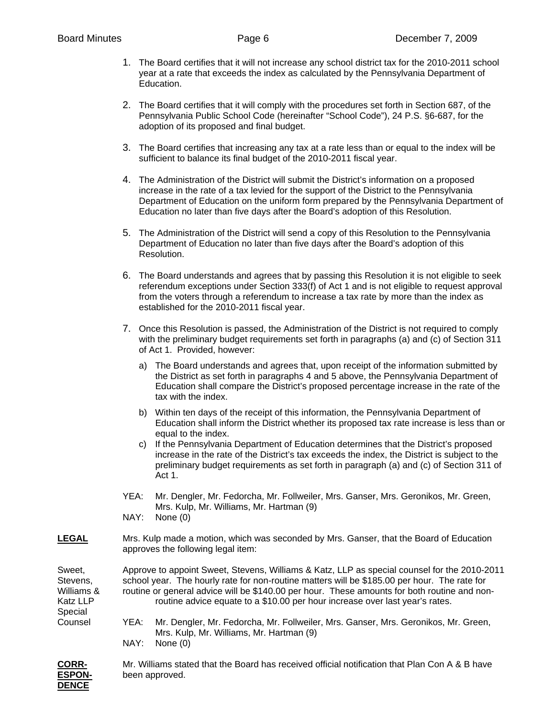- 1. The Board certifies that it will not increase any school district tax for the 2010-2011 school year at a rate that exceeds the index as calculated by the Pennsylvania Department of Education.
- 2. The Board certifies that it will comply with the procedures set forth in Section 687, of the Pennsylvania Public School Code (hereinafter "School Code"), 24 P.S. §6-687, for the adoption of its proposed and final budget.
- 3. The Board certifies that increasing any tax at a rate less than or equal to the index will be sufficient to balance its final budget of the 2010-2011 fiscal year.
- 4. The Administration of the District will submit the District's information on a proposed increase in the rate of a tax levied for the support of the District to the Pennsylvania Department of Education on the uniform form prepared by the Pennsylvania Department of Education no later than five days after the Board's adoption of this Resolution.
- 5. The Administration of the District will send a copy of this Resolution to the Pennsylvania Department of Education no later than five days after the Board's adoption of this Resolution.
- 6. The Board understands and agrees that by passing this Resolution it is not eligible to seek referendum exceptions under Section 333(f) of Act 1 and is not eligible to request approval from the voters through a referendum to increase a tax rate by more than the index as established for the 2010-2011 fiscal year.
- 7. Once this Resolution is passed, the Administration of the District is not required to comply with the preliminary budget requirements set forth in paragraphs (a) and (c) of Section 311 of Act 1. Provided, however:
	- a) The Board understands and agrees that, upon receipt of the information submitted by the District as set forth in paragraphs 4 and 5 above, the Pennsylvania Department of Education shall compare the District's proposed percentage increase in the rate of the tax with the index.
	- b) Within ten days of the receipt of this information, the Pennsylvania Department of Education shall inform the District whether its proposed tax rate increase is less than or equal to the index.
	- c) If the Pennsylvania Department of Education determines that the District's proposed increase in the rate of the District's tax exceeds the index, the District is subject to the preliminary budget requirements as set forth in paragraph (a) and (c) of Section 311 of Act 1.
- YEA: Mr. Dengler, Mr. Fedorcha, Mr. Follweiler, Mrs. Ganser, Mrs. Geronikos, Mr. Green, Mrs. Kulp, Mr. Williams, Mr. Hartman (9)
- NAY: None (0)
- **LEGAL** Mrs. Kulp made a motion, which was seconded by Mrs. Ganser, that the Board of Education approves the following legal item:

Special

- Sweet, Approve to appoint Sweet, Stevens, Williams & Katz, LLP as special counsel for the 2010-2011 Stevens, school year. The hourly rate for non-routine matters will be \$185.00 per hour. The rate for Williams & routine or general advice will be \$140.00 per hour. These amounts for both routine and non-Katz LLP routine advice equate to a \$10.00 per hour increase over last year's rates.
- Counsel YEA: Mr. Dengler, Mr. Fedorcha, Mr. Follweiler, Mrs. Ganser, Mrs. Geronikos, Mr. Green, Mrs. Kulp, Mr. Williams, Mr. Hartman (9) NAY: None (0)